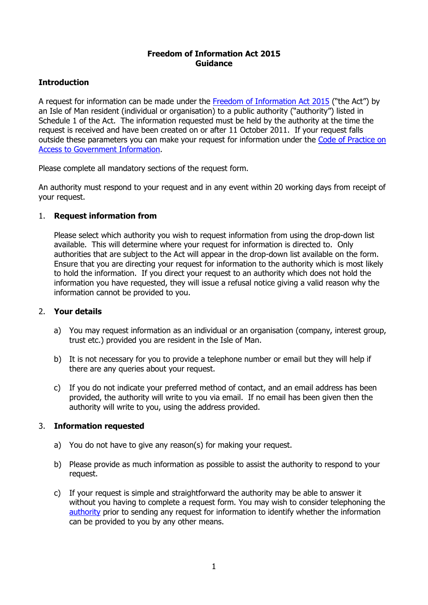## **Freedom of Information Act 2015 Guidance**

# **Introduction**

A request for information can be made under the [Freedom of Information Act 2015](http://www.legislation.gov.im/cms/images/LEGISLATION/PRINCIPAL/2015/2015-0008/FreedomofInformationAct2015_1.pdf) ("the Act") by an Isle of Man resident (individual or organisation) to a public authority ("authority") listed in Schedule 1 of the Act. The information requested must be held by the authority at the time the request is received and have been created on or after 11 October 2011. If your request falls outside these parameters you can make your request for information under the [Code of Practice on](https://www.gov.im/categories/home-and-neighbourhood/code-of-practice-on-access-to-government-information-access-code)  [Access to Government Information.](https://www.gov.im/categories/home-and-neighbourhood/code-of-practice-on-access-to-government-information-access-code)

Please complete all mandatory sections of the request form.

An authority must respond to your request and in any event within 20 working days from receipt of your request.

## 1. **Request information from**

Please select which authority you wish to request information from using the drop-down list available. This will determine where your request for information is directed to. Only authorities that are subject to the Act will appear in the drop-down list available on the form. Ensure that you are directing your request for information to the authority which is most likely to hold the information. If you direct your request to an authority which does not hold the information you have requested, they will issue a refusal notice giving a valid reason why the information cannot be provided to you.

#### 2. **Your details**

- a) You may request information as an individual or an organisation (company, interest group, trust etc.) provided you are resident in the Isle of Man.
- b) It is not necessary for you to provide a telephone number or email but they will help if there are any queries about your request.
- c) If you do not indicate your preferred method of contact, and an email address has been provided, the authority will write to you via email. If no email has been given then the authority will write to you, using the address provided.

## 3. **Information requested**

- a) You do not have to give any reason(s) for making your request.
- b) Please provide as much information as possible to assist the authority to respond to your request.
- c) If your request is simple and straightforward the authority may be able to answer it without you having to complete a request form. You may wish to consider telephoning the [authority](https://www.gov.im/about-the-government) prior to sending any request for information to identify whether the information can be provided to you by any other means.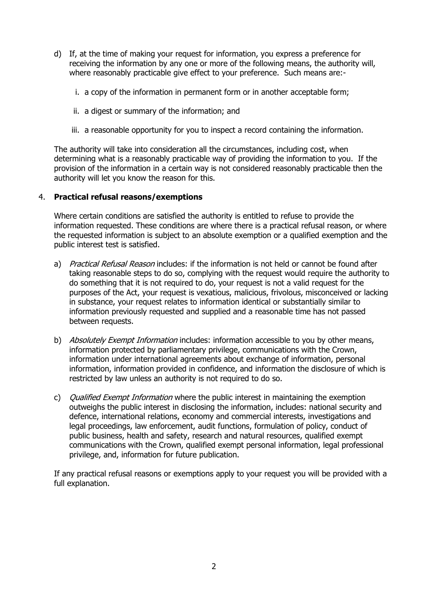- d) If, at the time of making your request for information, you express a preference for receiving the information by any one or more of the following means, the authority will, where reasonably practicable give effect to your preference. Such means are:
	- i. a copy of the information in permanent form or in another acceptable form;
	- ii. a digest or summary of the information; and
	- iii. a reasonable opportunity for you to inspect a record containing the information.

The authority will take into consideration all the circumstances, including cost, when determining what is a reasonably practicable way of providing the information to you. If the provision of the information in a certain way is not considered reasonably practicable then the authority will let you know the reason for this.

### 4. **Practical refusal reasons/exemptions**

Where certain conditions are satisfied the authority is entitled to refuse to provide the information requested. These conditions are where there is a practical refusal reason, or where the requested information is subject to an absolute exemption or a qualified exemption and the public interest test is satisfied.

- a) *Practical Refusal Reason* includes: if the information is not held or cannot be found after taking reasonable steps to do so, complying with the request would require the authority to do something that it is not required to do, your request is not a valid request for the purposes of the Act, your request is vexatious, malicious, frivolous, misconceived or lacking in substance, your request relates to information identical or substantially similar to information previously requested and supplied and a reasonable time has not passed between requests.
- b) Absolutely Exempt Information includes: information accessible to you by other means, information protected by parliamentary privilege, communications with the Crown, information under international agreements about exchange of information, personal information, information provided in confidence, and information the disclosure of which is restricted by law unless an authority is not required to do so.
- c) *Qualified Exempt Information* where the public interest in maintaining the exemption outweighs the public interest in disclosing the information, includes: national security and defence, international relations, economy and commercial interests, investigations and legal proceedings, law enforcement, audit functions, formulation of policy, conduct of public business, health and safety, research and natural resources, qualified exempt communications with the Crown, qualified exempt personal information, legal professional privilege, and, information for future publication.

If any practical refusal reasons or exemptions apply to your request you will be provided with a full explanation.